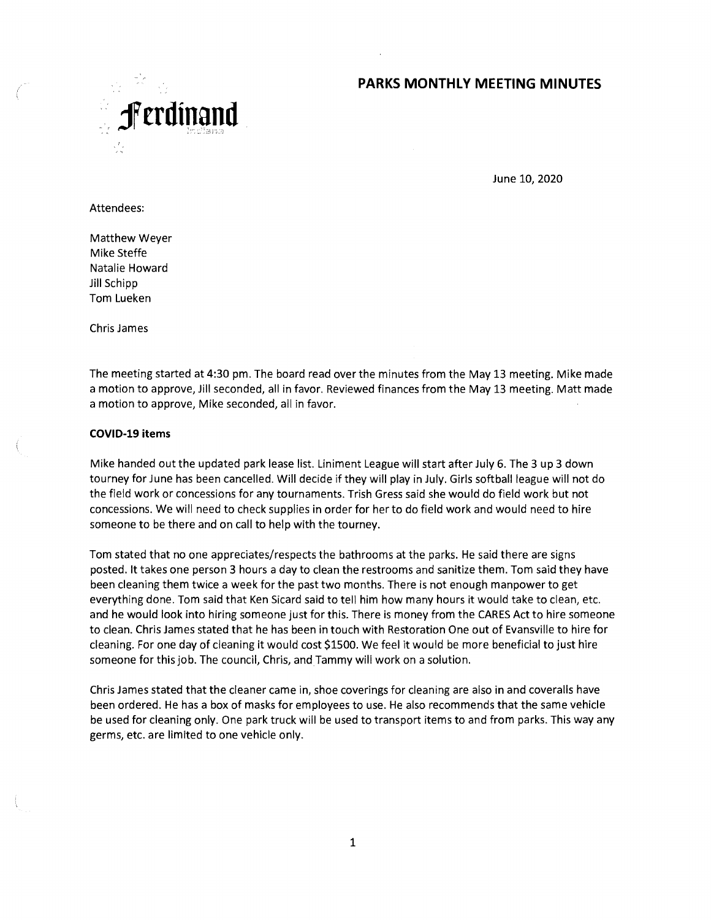

June 10, 2020

### Attendees:

Matthew Weyer Mike Steffe Natalie Howard Jill Schipp Tom Lueken

Chris James

The meeting started at 4:30 pm. The board read over the minutes from the May 13 meeting. Mike made a motion to approve, Jill seconded, all in favor. Reviewed finances from the May 13 meeting. Matt made a motion to approve, Mike seconded, all in favor.

### **COVI D-19 items**

Mike handed out the updated park lease list. Liniment League will start after July 6. The 3 up 3 down tourney for June has been cancelled. Will decide if they will play in July. Girls softball league will not do the field work or concessions for any tournaments. Trish Gress said she would do field work but not concessions. We will need to check supplies in order for her to do field work and would need to hire someone to be there and on call to help with the tourney.

Tom stated that no one appreciates/respects the bathrooms at the parks. He said there are signs posted. lt takes one person 3 hours a day to clean the restrooms and sanitize them. Tom said they have been cleaning them twice a week for the past two months. There is not enough manpower to get everything done. Tom said that Ken Sicard said to tell him how many hours it would take to clean, etc. and he would look into hiríng someone just for this. There is money from the CARES Act to hire someone to clean. Chris James stated that he has been in touch with Restoration One out of Evansville to hire for cleaning. For one day of cleaning it would cost \$1500. We feel it would be more beneficial to just hire someone for this job. The council, Chris, and Tammy will work on a solution.

Chris James stated that the cleaner came in, shoe coverings for cleaning are also in and coveralls have been ordered. He has a box of masks for ennployees to use. He also recommends that the same vehicle be used for cleaning only. One park truck will be used to transport items to and from parks. This way any germs, etc. are limited to one vehicle only.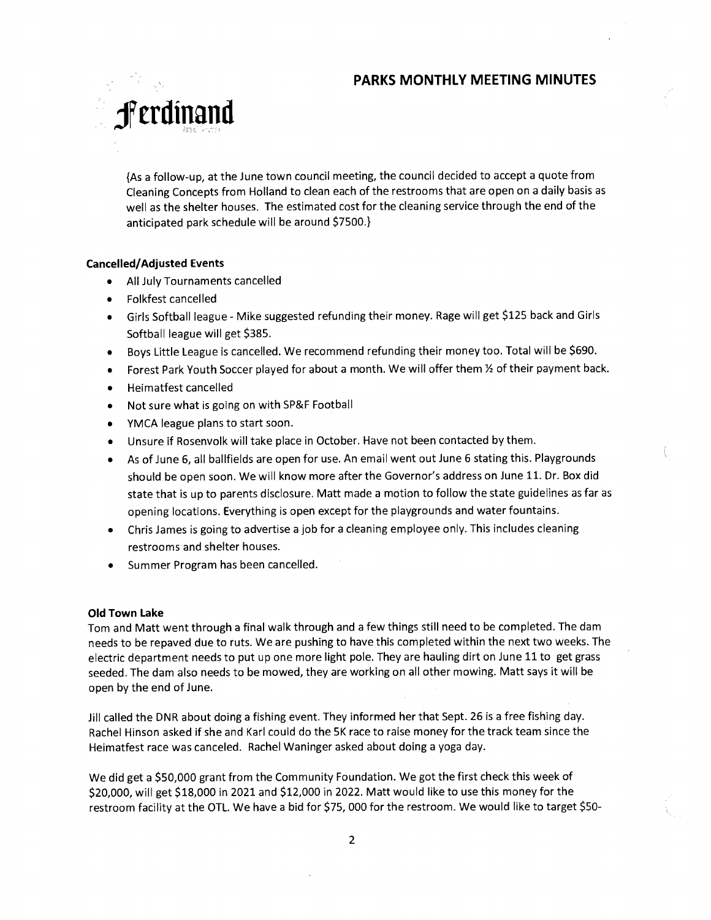

{As a follow-up, at the June town council meeting, the council decided to accept a quote from Cleaning Concepts from Holland to clean each of the restrooms that are open on a daily basis as well as the shelter houses. The estimated cost for the cleaning service through the end of the anticipated park schedule will be around \$7500.}

### **Cancelled/Adjusted Events**

- All July Tournaments cancelled
- Folkfest cancelled
- Girls Softball league Mike suggested refunding their money. Rage will get \$125 back and Girls Softball league will get \$385.
- Boys Little League is cancelled. We recommend refunding their money too. Total will be \$690.
- Forest Park Youth Soccer played for about a month. We will offer them 1/2 of their payment back.
- Heimatfest cancelled
- Not sure what is going on with SP&F Football
- YMCA league plans to start soon.
- Unsure if Rosenvolk will take place in October. Have not been contacted by them.
- As of June 6, all ballfields are open for use. An email went out June 6 stating this. Playgrounds should be open soon. We will know more after the Governor's address on June 11. Dr. Box did state that is up to parents disclosure. Matt made a motion to follow the state guidelines as far as opening locations. Everything is open except for the playgrounds and water fountains.
- Chris James is going to advertise a job for a cleaning employee only. This includes cleaning restrooms and shelter houses.
- Summer Program has been cancelled.

### **Old Town Lake**

Tom and Matt went through a final walk through and a few things still need to be completed. The dam needs to be repaved due to ruts. We are pushing to have this completed within the next two weeks. The electric department needs to put up one more light pole. They are hauling dirt on June 11 to get grass seeded. The dam also needs to be mowed, they are working on all other mowing. Matt says it will be open by the end of June.

Jill called the DNR about doing a fishing event. They informed her that Sept. 26 is a free fishing day. Rachel Hinson asked if she and Karl could do the 5K race to raise money for the track team since the Heimatfest race was canceled. Rachel Waninger asked about doing a yoga day.

We did get a \$50,000 grant from the Community Foundation. We got the first check this week of \$20,000, will get \$18,000 in 2021 and \$12,000 in 2022. Matt would like to use this money for the restroom facility at the OTL. We have a bid for \$75, 000 for the restroom. We would like to target \$5O-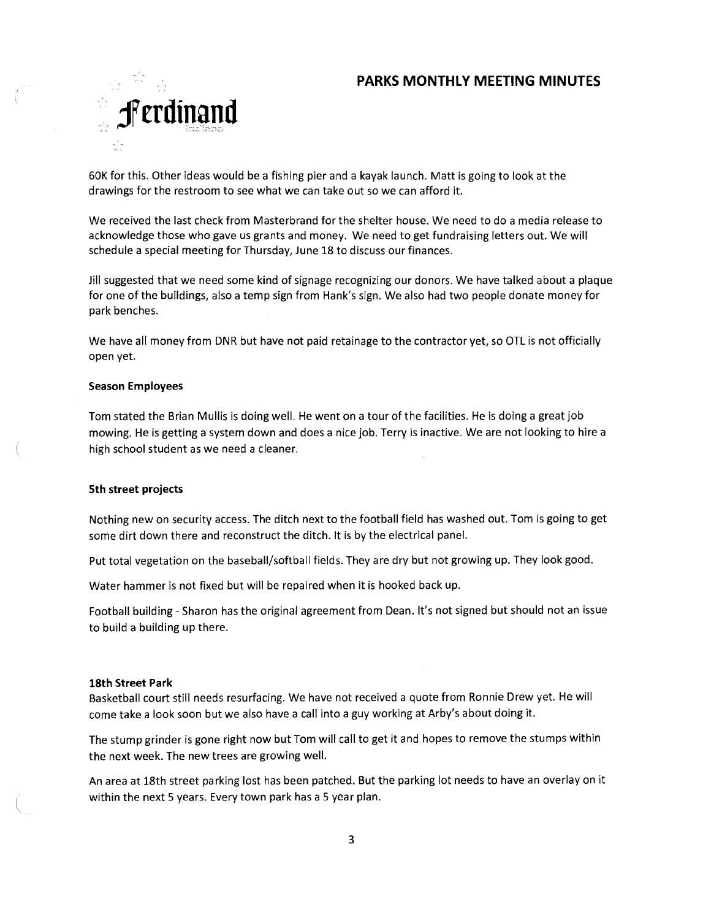

60K for this. Other ideas would be a fishing pier and a kayak launch. Matt is going to look at the drawings for the restroom to see what we can take out so we can afford it.

We received the last check from Masterbrand for the shelter house. We need to do a media release to acknowledge those who gave us grants and money. We need to get fundraising letters out. We will schedule a special meeting for Thursday, June 18 to discuss our finances.

Jill suggested that we need some kind of signage recognizing our donors. We have talked about a plaque for one of the buildings, also a temp sign from Hank's sign. We also had two people donate money for park benches.

We have all money from DNR but have not paid retainage to the contractor yet, so OTL is not officially open yet.

### **Season Employees**

Tom stated the Brian Mullis is doing well. He went on a tour of the facilities. He is doing a great job mowing. He is getting a system down and does a nice job. Terry is inactive. We are not looking to hire a high school student as we need a cleaner.

#### **5th street projects**

Nothing new on security access. The ditch next to the football field has washed out. Tom is going to get some dirt down there and reconstruct the ditch. It is by the electrical panel.

Put total vegetation on the baseball/softball fields. They are dry but not growing up. They look good.

Water hammer is not fixed but will be repaired when it is hooked back up.

Football building - Sharon has the original agreement from Dean. It's not signed but should not an issue to build a building up there.

#### **18th Street Park**

Basketball court still needs resurfacing. We have not received a quote from Ronnie Drew yet. He will come take a look soon but we also have a call into a guy working at Arby's about doing it.

The stump grínder is gone right now but Tom will call to get it and hopes to remove the stumps within the next week. The new trees are growing well.

An area at 18th street parking lost has been patched. But the parking lot needs to have an overlay on it within the next 5 years. Every town park has a 5 year plan.